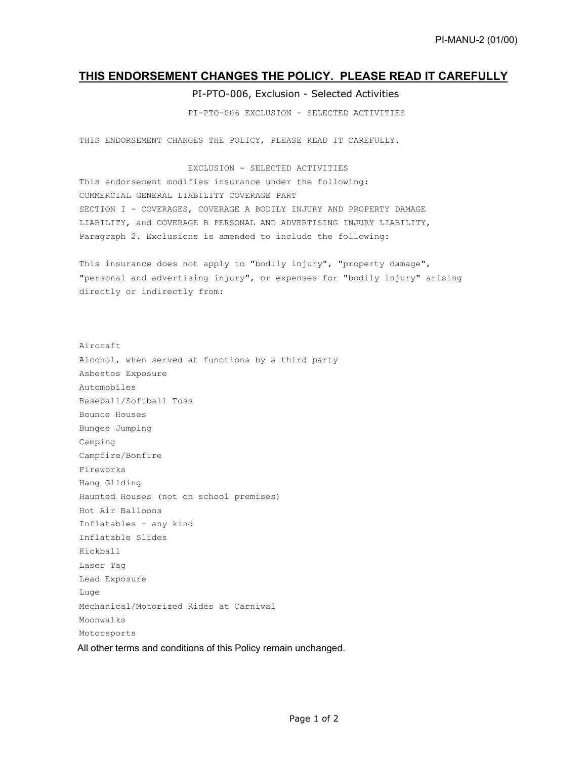## **THIS ENDORSEMENT CHANGES THE POLICY. PLEASE READ IT CAREFULLY**

## PI-PTO-006, Exclusion - Selected Activities

PI-PTO-006 EXCLUSION - SELECTED ACTIVITIES

THIS ENDORSEMENT CHANGES THE POLICY, PLEASE READ IT CAREFULLY.

## EXCLUSION - SELECTED ACTIVITIES

This endorsement modifies insurance under the following: COMMERCIAL GENERAL LIABILITY COVERAGE PART SECTION I - COVERAGES, COVERAGE A BODILY INJURY AND PROPERTY DAMAGE LIABILITY, and COVERAGE B PERSONAL AND ADVERTISING INJURY LIABILITY, Paragraph 2. Exclusions is amended to include the following:

This insurance does not apply to "bodily injury", "property damage", "personal and advertising injury", or expenses for "bodily injury" arising directly or indirectly from:

All other terms and conditions of this Policy remain unchanged. Aircraft Alcohol, when served at functions by a third party Asbestos Exposure Automobiles Baseball/Softball Toss Bounce Houses Bungee Jumping Camping Campfire/Bonfire Fireworks Hang Gliding Haunted Houses (not on school premises) Hot Air Balloons Inflatables - any kind Inflatable Slides Kickball Laser Tag Lead Exposure Luge Mechanical/Motorized Rides at Carnival Moonwalks Motorsports